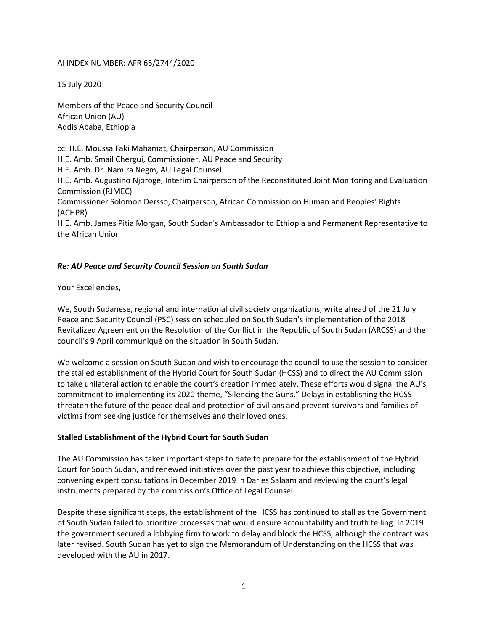## AI INDEX NUMBER: AFR 65/2744/2020

15 July 2020

Members of the Peace and Security Council African Union (AU) Addis Ababa, Ethiopia

cc: H.E. Moussa Faki Mahamat, Chairperson, AU Commission H.E. Amb. Smail Chergui, Commissioner, AU Peace and Security H.E. Amb. Dr. Namira Negm, AU Legal Counsel H.E. Amb. Augustino Njoroge, Interim Chairperson of the Reconstituted Joint Monitoring and Evaluation Commission (RJMEC) Commissioner Solomon Dersso, Chairperson, African Commission on Human and Peoples' Rights (ACHPR) H.E. Amb. James Pitia Morgan, South Sudan's Ambassador to Ethiopia and Permanent Representative to the African Union

## *Re: AU Peace and Security Council Session on South Sudan*

Your Excellencies,

We, South Sudanese, regional and international civil society organizations, write ahead of the 21 July Peace and Security Council (PSC) session scheduled on South Sudan's implementation of the 2018 Revitalized Agreement on the Resolution of the Conflict in the Republic of South Sudan (ARCSS) and the council's 9 April communiqué on the situation in South Sudan.

We welcome a session on South Sudan and wish to encourage the council to use the session to consider the stalled establishment of the Hybrid Court for South Sudan (HCSS) and to direct the AU Commission to take unilateral action to enable the court's creation immediately. These efforts would signal the AU's commitment to implementing its 2020 theme, "Silencing the Guns." Delays in establishing the HCSS threaten the future of the peace deal and protection of civilians and prevent survivors and families of victims from seeking justice for themselves and their loved ones.

## **Stalled Establishment of the Hybrid Court for South Sudan**

The AU Commission has taken important steps to date to prepare for the establishment of the Hybrid Court for South Sudan, and renewed initiatives over the past year to achieve this objective, including convening expert consultations in December 2019 in Dar es Salaam and reviewing the court's legal instruments prepared by the commission's Office of Legal Counsel.

Despite these significant steps, the establishment of the HCSS has continued to stall as the Government of South Sudan failed to prioritize processes that would ensure accountability and truth telling. In 2019 the government secured a lobbying firm to work to delay and block the HCSS, although the contract was later revised. South Sudan has yet to sign the Memorandum of Understanding on the HCSS that was developed with the AU in 2017.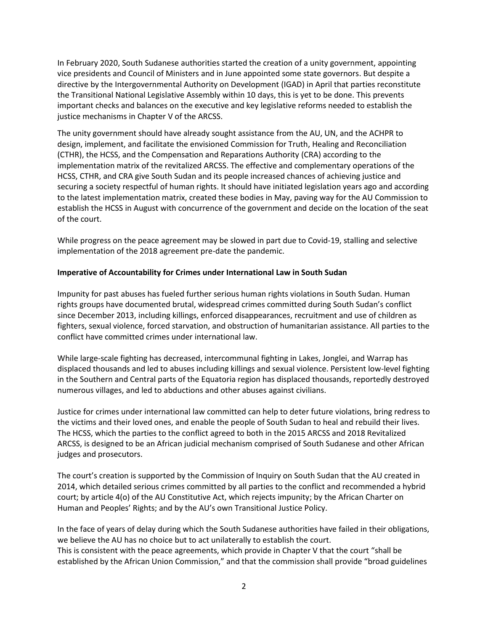In February 2020, South Sudanese authorities started the creation of a unity government, appointing vice presidents and Council of Ministers and in June appointed some state governors. But despite a directive by the Intergovernmental Authority on Development (IGAD) in April that parties reconstitute the Transitional National Legislative Assembly within 10 days, this is yet to be done. This prevents important checks and balances on the executive and key legislative reforms needed to establish the justice mechanisms in Chapter V of the ARCSS.

The unity government should have already sought assistance from the AU, UN, and the ACHPR to design, implement, and facilitate the envisioned Commission for Truth, Healing and Reconciliation (CTHR), the HCSS, and the Compensation and Reparations Authority (CRA) according to the implementation matrix of the revitalized ARCSS. The effective and complementary operations of the HCSS, CTHR, and CRA give South Sudan and its people increased chances of achieving justice and securing a society respectful of human rights. It should have initiated legislation years ago and according to the latest implementation matrix, created these bodies in May, paving way for the AU Commission to establish the HCSS in August with concurrence of the government and decide on the location of the seat of the court.

While progress on the peace agreement may be slowed in part due to Covid-19, stalling and selective implementation of the 2018 agreement pre-date the pandemic.

## **Imperative of Accountability for Crimes under International Law in South Sudan**

Impunity for past abuses has fueled further serious human rights violations in South Sudan. Human rights groups have documented brutal, widespread crimes committed during South Sudan's conflict since December 2013, including killings, enforced disappearances, recruitment and use of children as fighters, sexual violence, forced starvation, and obstruction of humanitarian assistance. All parties to the conflict have committed crimes under international law.

While large-scale fighting has decreased, intercommunal fighting in Lakes, Jonglei, and Warrap has displaced thousands and led to abuses including killings and sexual violence. Persistent low-level fighting in the Southern and Central parts of the Equatoria region has displaced thousands, reportedly destroyed numerous villages, and led to abductions and other abuses against civilians.

Justice for crimes under international law committed can help to deter future violations, bring redress to the victims and their loved ones, and enable the people of South Sudan to heal and rebuild their lives. The HCSS, which the parties to the conflict agreed to both in the 2015 ARCSS and 2018 Revitalized ARCSS, is designed to be an African judicial mechanism comprised of South Sudanese and other African judges and prosecutors.

The court's creation is supported by the Commission of Inquiry on South Sudan that the AU created in 2014, which detailed serious crimes committed by all parties to the conflict and recommended a hybrid court; by article 4(o) of the AU Constitutive Act, which rejects impunity; by the African Charter on Human and Peoples' Rights; and by the AU's own Transitional Justice Policy.

In the face of years of delay during which the South Sudanese authorities have failed in their obligations, we believe the AU has no choice but to act unilaterally to establish the court. This is consistent with the peace agreements, which provide in Chapter V that the court "shall be established by the African Union Commission," and that the commission shall provide "broad guidelines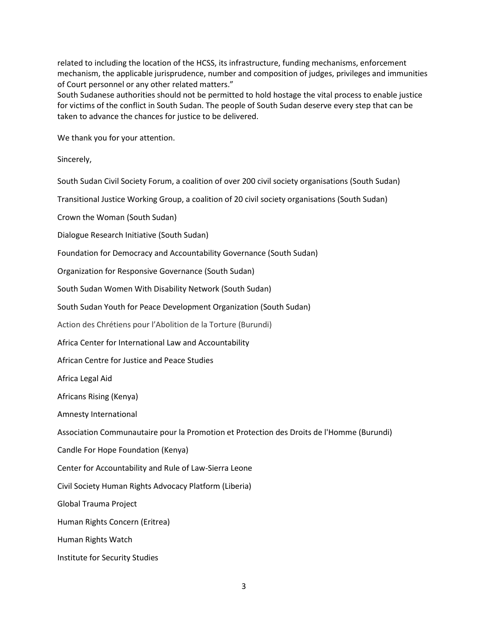related to including the location of the HCSS, its infrastructure, funding mechanisms, enforcement mechanism, the applicable jurisprudence, number and composition of judges, privileges and immunities of Court personnel or any other related matters."

South Sudanese authorities should not be permitted to hold hostage the vital process to enable justice for victims of the conflict in South Sudan. The people of South Sudan deserve every step that can be taken to advance the chances for justice to be delivered.

We thank you for your attention.

Sincerely,

South Sudan Civil Society Forum, a coalition of over 200 civil society organisations (South Sudan)

Transitional Justice Working Group, a coalition of 20 civil society organisations (South Sudan)

Crown the Woman (South Sudan)

Dialogue Research Initiative (South Sudan)

Foundation for Democracy and Accountability Governance (South Sudan)

Organization for Responsive Governance (South Sudan)

South Sudan Women With Disability Network (South Sudan)

South Sudan Youth for Peace Development Organization (South Sudan)

Action des Chrétiens pour l'Abolition de la Torture (Burundi)

Africa Center for International Law and Accountability

African Centre for Justice and Peace Studies

Africa Legal Aid

Africans Rising (Kenya)

Amnesty International

Association Communautaire pour la Promotion et Protection des Droits de l'Homme (Burundi)

Candle For Hope Foundation (Kenya)

Center for Accountability and Rule of Law-Sierra Leone

Civil Society Human Rights Advocacy Platform (Liberia)

Global Trauma Project

Human Rights Concern (Eritrea)

Human Rights Watch

Institute for Security Studies